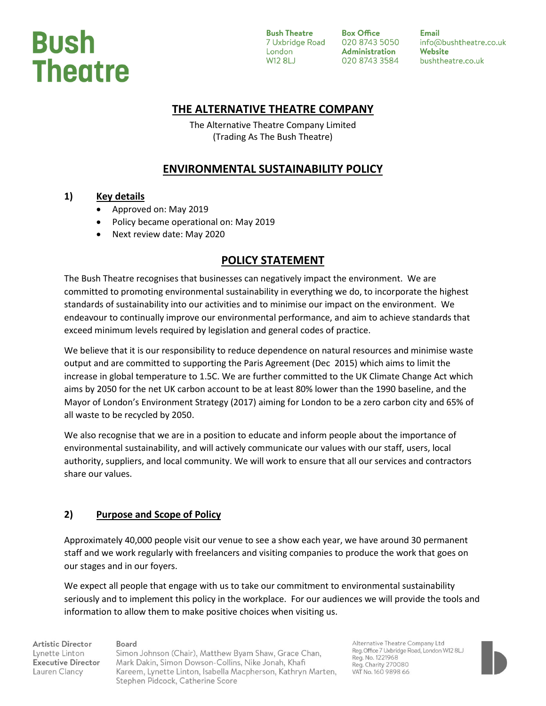

**Bush Theatre** 7 Uxbridge Road London **W12 8LJ** 

**Box Office** 020 8743 5050 **Administration** 020 8743 3584

**Email** info@bushtheatre.co.uk Website bushtheatre.co.uk

### **THE ALTERNATIVE THEATRE COMPANY**

The Alternative Theatre Company Limited (Trading As The Bush Theatre)

### **ENVIRONMENTAL SUSTAINABILITY POLICY**

### **1) Key details**

- Approved on: May 2019
- Policy became operational on: May 2019
- Next review date: May 2020

### **POLICY STATEMENT**

The Bush Theatre recognises that businesses can negatively impact the environment. We are committed to promoting environmental sustainability in everything we do, to incorporate the highest standards of sustainability into our activities and to minimise our impact on the environment. We endeavour to continually improve our environmental performance, and aim to achieve standards that exceed minimum levels required by legislation and general codes of practice.

We believe that it is our responsibility to reduce dependence on natural resources and minimise waste output and are committed to supporting the Paris Agreement (Dec 2015) which aims to limit the increase in global temperature to 1.5C. We are further committed to the UK Climate Change Act which aims by 2050 for the net UK carbon account to be at least 80% lower than the 1990 baseline, and the Mayor of London's Environment Strategy (2017) aiming for London to be a zero carbon city and 65% of all waste to be recycled by 2050.

We also recognise that we are in a position to educate and inform people about the importance of environmental sustainability, and will actively communicate our values with our staff, users, local authority, suppliers, and local community. We will work to ensure that all our services and contractors share our values.

### **2) Purpose and Scope of Policy**

Approximately 40,000 people visit our venue to see a show each year, we have around 30 permanent staff and we work regularly with freelancers and visiting companies to produce the work that goes on our stages and in our foyers.

We expect all people that engage with us to take our commitment to environmental sustainability seriously and to implement this policy in the workplace. For our audiences we will provide the tools and information to allow them to make positive choices when visiting us.

**Artistic Director** Lynette Linton **Executive Director** Lauren Clancy

Board Simon Johnson (Chair), Matthew Byam Shaw, Grace Chan, Mark Dakin, Simon Dowson-Collins, Nike Jonah, Khafi Kareem, Lynette Linton, Isabella Macpherson, Kathryn Marten, Stephen Pidcock, Catherine Score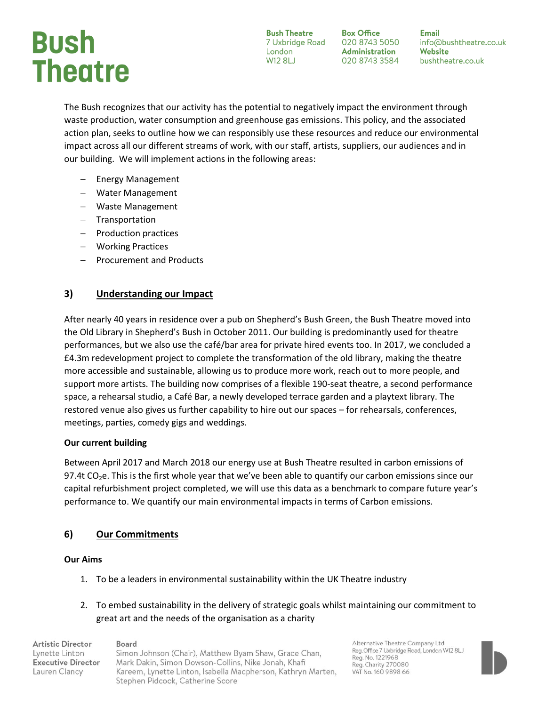**Bush Theatre** 7 Uxbridge Road London **W12 8LJ** 

**Box Office** 020 8743 5050 **Administration** 020 8743 3584

**Email** info@bushtheatre.co.uk **Website** bushtheatre.co.uk

The Bush recognizes that our activity has the potential to negatively impact the environment through waste production, water consumption and greenhouse gas emissions. This policy, and the associated action plan, seeks to outline how we can responsibly use these resources and reduce our environmental impact across all our different streams of work, with our staff, artists, suppliers, our audiences and in our building. We will implement actions in the following areas:

- Energy Management
- Water Management
- Waste Management
- Transportation
- Production practices
- Working Practices
- Procurement and Products

#### **3) Understanding our Impact**

After nearly 40 years in residence over a pub on Shepherd's Bush Green, the Bush Theatre moved into the Old Library in Shepherd's Bush in October 2011. Our building is predominantly used for theatre performances, but we also use the café/bar area for private hired events too. In 2017, we concluded a £4.3m redevelopment project to complete the transformation of the old library, making the theatre more accessible and sustainable, allowing us to produce more work, reach out to more people, and support more artists. The building now comprises of a flexible 190-seat theatre, a second performance space, a rehearsal studio, a Café Bar, a newly developed terrace garden and a playtext library. The restored venue also gives us further capability to hire out our spaces – for rehearsals, conferences, meetings, parties, comedy gigs and weddings.

#### **Our current building**

Between April 2017 and March 2018 our energy use at Bush Theatre resulted in carbon emissions of 97.4t CO<sub>2</sub>e. This is the first whole year that we've been able to quantify our carbon emissions since our capital refurbishment project completed, we will use this data as a benchmark to compare future year's performance to. We quantify our main environmental impacts in terms of Carbon emissions.

### **6) Our Commitments**

#### **Our Aims**

1. To be a leaders in environmental sustainability within the UK Theatre industry

### 2. To embed sustainability in the delivery of strategic goals whilst maintaining our commitment to great art and the needs of the organisation as a charity

**Artistic Director** Lynette Linton **Executive Director** Lauren Clancy

Board Simon Johnson (Chair), Matthew Byam Shaw, Grace Chan, Mark Dakin, Simon Dowson-Collins, Nike Jonah, Khafi Kareem, Lynette Linton, Isabella Macpherson, Kathryn Marten, Stephen Pidcock, Catherine Score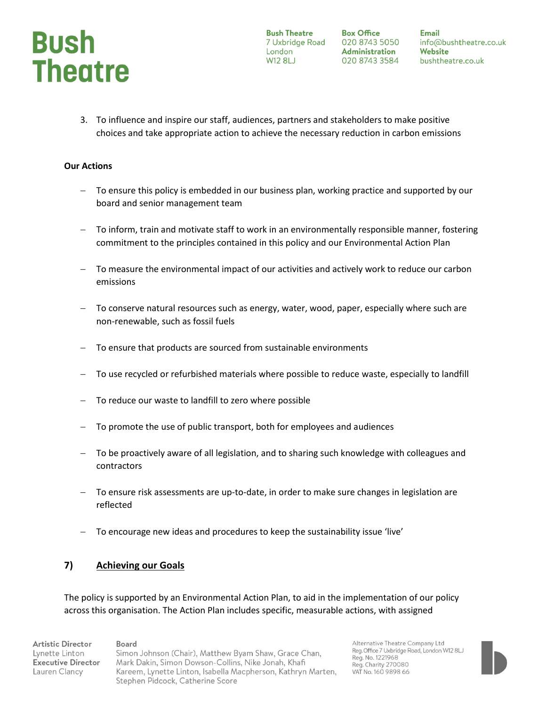

**Box Office** 020 8743 5050 **Administration** 020 8743 3584

**Email** info@bushtheatre.co.uk Website bushtheatre.co.uk

3. To influence and inspire our staff, audiences, partners and stakeholders to make positive choices and take appropriate action to achieve the necessary reduction in carbon emissions

#### **Our Actions**

- To ensure this policy is embedded in our business plan, working practice and supported by our board and senior management team
- To inform, train and motivate staff to work in an environmentally responsible manner, fostering commitment to the principles contained in this policy and our Environmental Action Plan
- To measure the environmental impact of our activities and actively work to reduce our carbon emissions
- To conserve natural resources such as energy, water, wood, paper, especially where such are non-renewable, such as fossil fuels
- To ensure that products are sourced from sustainable environments
- To use recycled or refurbished materials where possible to reduce waste, especially to landfill
- To reduce our waste to landfill to zero where possible
- To promote the use of public transport, both for employees and audiences
- To be proactively aware of all legislation, and to sharing such knowledge with colleagues and contractors
- To ensure risk assessments are up-to-date, in order to make sure changes in legislation are reflected
- To encourage new ideas and procedures to keep the sustainability issue 'live'

### **7) Achieving our Goals**

The policy is supported by an Environmental Action Plan, to aid in the implementation of our policy across this organisation. The Action Plan includes specific, measurable actions, with assigned

Artistic Director Board Lynette Linton Simon Johnson (Chair), Matthew Byam Shaw, Grace Chan, **Executive Director** Mark Dakin, Simon Dowson-Collins, Nike Jonah, Khafi Lauren Clancy Kareem, Lynette Linton, Isabella Macpherson, Kathryn Marten, Stephen Pidcock, Catherine Score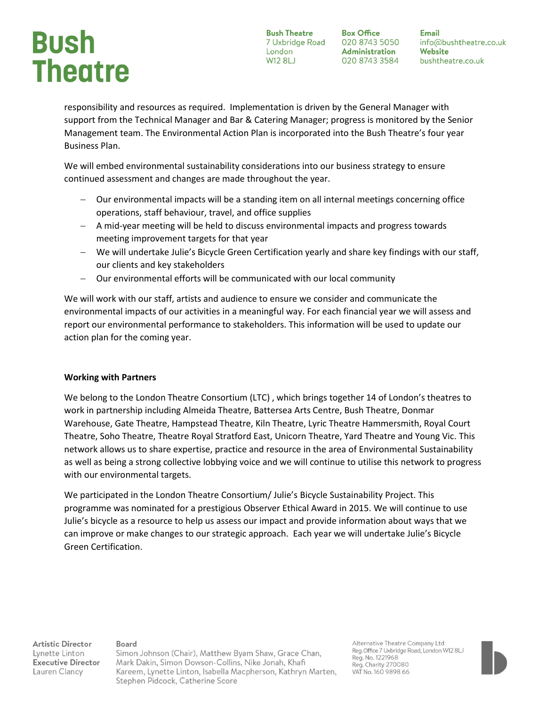**Box Office** 020 8743 5050 **Administration** 020 8743 3584

**Email** info@bushtheatre.co.uk Website bushtheatre.co.uk

responsibility and resources as required. Implementation is driven by the General Manager with support from the Technical Manager and Bar & Catering Manager; progress is monitored by the Senior Management team. The Environmental Action Plan is incorporated into the Bush Theatre's four year Business Plan.

We will embed environmental sustainability considerations into our business strategy to ensure continued assessment and changes are made throughout the year.

- Our environmental impacts will be a standing item on all internal meetings concerning office operations, staff behaviour, travel, and office supplies
- A mid-year meeting will be held to discuss environmental impacts and progress towards meeting improvement targets for that year
- We will undertake Julie's Bicycle Green Certification yearly and share key findings with our staff, our clients and key stakeholders
- Our environmental efforts will be communicated with our local community

We will work with our staff, artists and audience to ensure we consider and communicate the environmental impacts of our activities in a meaningful way. For each financial year we will assess and report our environmental performance to stakeholders. This information will be used to update our action plan for the coming year.

#### **Working with Partners**

We belong to the London Theatre Consortium (LTC) , which brings together 14 of London's theatres to work in partnership including Almeida Theatre, Battersea Arts Centre, Bush Theatre, Donmar Warehouse, Gate Theatre, Hampstead Theatre, Kiln Theatre, Lyric Theatre Hammersmith, Royal Court Theatre, Soho Theatre, Theatre Royal Stratford East, Unicorn Theatre, Yard Theatre and Young Vic. This network allows us to share expertise, practice and resource in the area of Environmental Sustainability as well as being a strong collective lobbying voice and we will continue to utilise this network to progress with our environmental targets.

We participated in the London Theatre Consortium/ Julie's Bicycle Sustainability Project. This programme was nominated for a prestigious Observer Ethical Award in 2015. We will continue to use Julie's bicycle as a resource to help us assess our impact and provide information about ways that we can improve or make changes to our strategic approach. Each year we will undertake Julie's Bicycle Green Certification.

**Artistic Director** Lynette Linton **Executive Director** Lauren Clancy

Board Simon Johnson (Chair), Matthew Byam Shaw, Grace Chan, Mark Dakin, Simon Dowson-Collins, Nike Jonah, Khafi Kareem, Lynette Linton, Isabella Macpherson, Kathryn Marten, Stephen Pidcock, Catherine Score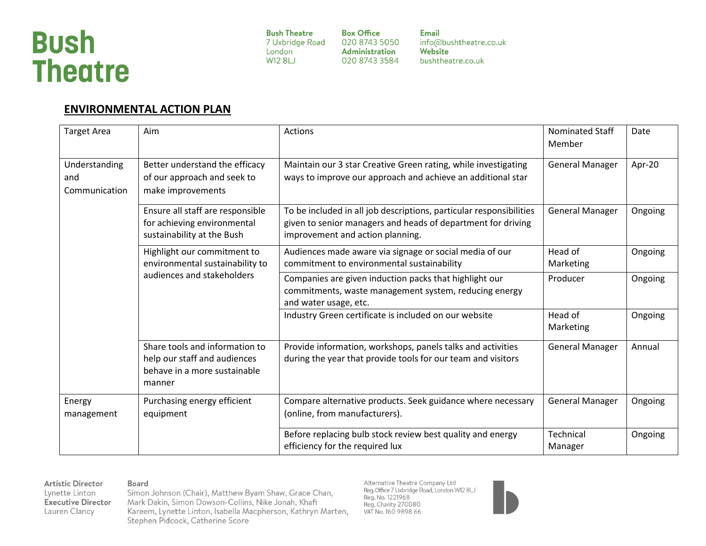**Bush Theatre** 7 Uxbridge Road London **W12 8LJ** 

**Box Office** 020 8743 5050 Administration 020 8743 3584

**Email** info@bushtheatre.co.uk Website bushtheatre.co.uk

### **ENVIRONMENTAL ACTION PLAN**

| <b>Target Area</b>                    | Aim                                                                                                      | <b>Actions</b>                                                                                                                                                          | <b>Nominated Staff</b><br>Member | Date    |
|---------------------------------------|----------------------------------------------------------------------------------------------------------|-------------------------------------------------------------------------------------------------------------------------------------------------------------------------|----------------------------------|---------|
| Understanding<br>and<br>Communication | Better understand the efficacy<br>of our approach and seek to<br>make improvements                       | Maintain our 3 star Creative Green rating, while investigating<br>ways to improve our approach and achieve an additional star                                           | <b>General Manager</b>           | Apr-20  |
|                                       | Ensure all staff are responsible<br>for achieving environmental<br>sustainability at the Bush            | To be included in all job descriptions, particular responsibilities<br>given to senior managers and heads of department for driving<br>improvement and action planning. | <b>General Manager</b>           | Ongoing |
|                                       | Highlight our commitment to<br>environmental sustainability to                                           | Audiences made aware via signage or social media of our<br>commitment to environmental sustainability                                                                   | Head of<br>Marketing             | Ongoing |
|                                       | audiences and stakeholders                                                                               | Companies are given induction packs that highlight our<br>commitments, waste management system, reducing energy<br>and water usage, etc.                                | Producer                         | Ongoing |
|                                       |                                                                                                          | Industry Green certificate is included on our website                                                                                                                   | Head of<br>Marketing             | Ongoing |
|                                       | Share tools and information to<br>help our staff and audiences<br>behave in a more sustainable<br>manner | Provide information, workshops, panels talks and activities<br>during the year that provide tools for our team and visitors                                             | <b>General Manager</b>           | Annual  |
| Energy<br>management                  | Purchasing energy efficient<br>equipment                                                                 | Compare alternative products. Seek guidance where necessary<br>(online, from manufacturers).                                                                            | <b>General Manager</b>           | Ongoing |
|                                       |                                                                                                          | Before replacing bulb stock review best quality and energy<br>efficiency for the required lux                                                                           | Technical<br>Manager             | Ongoing |

**Artistic Director** Lynette Linton Executive Director Lauren Clancy

Board Simon Johnson (Chair), Matthew Byam Shaw, Grace Chan, Mark Dakin, Simon Dowson-Collins, Nike Jonah, Khafi Kareem, Lynette Linton, Isabella Macpherson, Kathryn Marten, Stephen Pidcock, Catherine Score

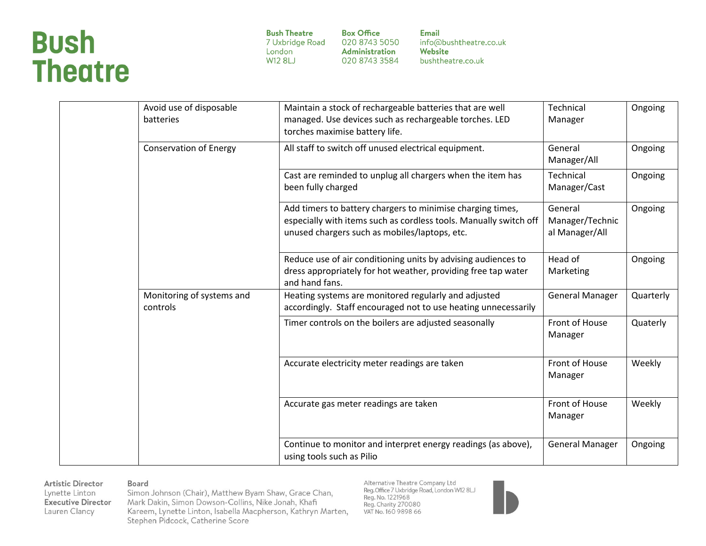| <b>Bush Theatre</b> | <b>Box Office</b>     |
|---------------------|-----------------------|
| 7 Uxbridge Road     | 020 8743 5050         |
| London              | <b>Administration</b> |
| W12 8LJ             | 020 8743 3584         |

**Email** info@bushtheatre.co.uk Website bushtheatre.co.uk

|  | Avoid use of disposable<br>batteries  | Maintain a stock of rechargeable batteries that are well<br>managed. Use devices such as rechargeable torches. LED<br>torches maximise battery life.                             | Technical<br>Manager                         | Ongoing   |
|--|---------------------------------------|----------------------------------------------------------------------------------------------------------------------------------------------------------------------------------|----------------------------------------------|-----------|
|  | <b>Conservation of Energy</b>         | All staff to switch off unused electrical equipment.                                                                                                                             | General<br>Manager/All                       | Ongoing   |
|  |                                       | Cast are reminded to unplug all chargers when the item has<br>been fully charged                                                                                                 | <b>Technical</b><br>Manager/Cast             | Ongoing   |
|  |                                       | Add timers to battery chargers to minimise charging times,<br>especially with items such as cordless tools. Manually switch off<br>unused chargers such as mobiles/laptops, etc. | General<br>Manager/Technic<br>al Manager/All | Ongoing   |
|  |                                       | Reduce use of air conditioning units by advising audiences to<br>dress appropriately for hot weather, providing free tap water<br>and hand fans.                                 | Head of<br>Marketing                         | Ongoing   |
|  | Monitoring of systems and<br>controls | Heating systems are monitored regularly and adjusted<br>accordingly. Staff encouraged not to use heating unnecessarily                                                           | <b>General Manager</b>                       | Quarterly |
|  |                                       | Timer controls on the boilers are adjusted seasonally                                                                                                                            | Front of House<br>Manager                    | Quaterly  |
|  |                                       | Accurate electricity meter readings are taken                                                                                                                                    | Front of House<br>Manager                    | Weekly    |
|  |                                       | Accurate gas meter readings are taken                                                                                                                                            | Front of House<br>Manager                    | Weekly    |
|  |                                       | Continue to monitor and interpret energy readings (as above),<br>using tools such as Pilio                                                                                       | <b>General Manager</b>                       | Ongoing   |

Artistic Director Lynette Linton **Executive Director** Lauren Clancy

Board

Simon Johnson (Chair), Matthew Byam Shaw, Grace Chan, Mark Dakin, Simon Dowson-Collins, Nike Jonah, Khafi Kareem, Lynette Linton, Isabella Macpherson, Kathryn Marten, Stephen Pidcock, Catherine Score

Alternative Theatre Company Ltd Fire Theory Theory Control Reg. Office 7 Uxbridge Road, London W12 8LJ<br>Reg. No. 1221968<br>Reg. Charity 270080 VAT No. 160 9898 66

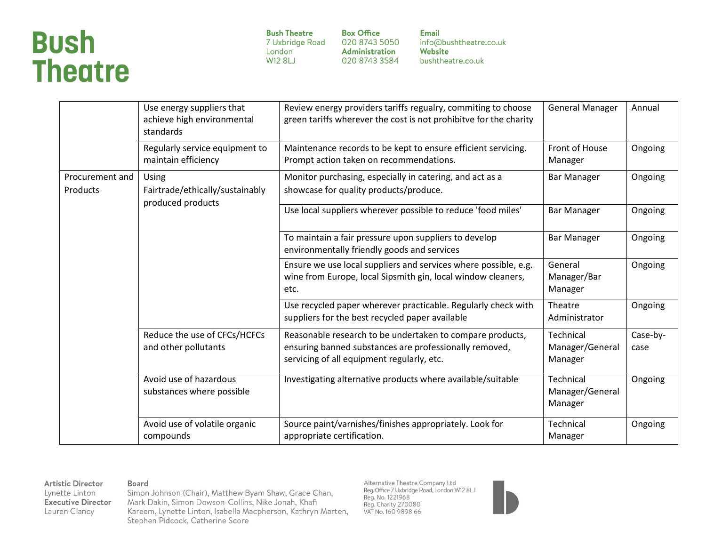| <b>Bush Theatre</b> | <b>Box Office</b>     |
|---------------------|-----------------------|
| 7 Uxbridge Road     | 020 8743 5050         |
| London              | <b>Administration</b> |
| W12 8LJ             | 020 8743 3584         |

**Email** info@bushtheatre.co.uk Website bushtheatre.co.uk

|                             | Use energy suppliers that<br>achieve high environmental<br>standards | Review energy providers tariffs regualry, commiting to choose<br>green tariffs wherever the cost is not prohibitve for the charity                                | <b>General Manager</b>                         | Annual           |
|-----------------------------|----------------------------------------------------------------------|-------------------------------------------------------------------------------------------------------------------------------------------------------------------|------------------------------------------------|------------------|
|                             | Regularly service equipment to<br>maintain efficiency                | Maintenance records to be kept to ensure efficient servicing.<br>Prompt action taken on recommendations.                                                          | Front of House<br>Manager                      | Ongoing          |
| Procurement and<br>Products | Using<br>Fairtrade/ethically/sustainably<br>produced products        | Monitor purchasing, especially in catering, and act as a<br>showcase for quality products/produce.                                                                | <b>Bar Manager</b>                             | Ongoing          |
|                             |                                                                      | Use local suppliers wherever possible to reduce 'food miles'                                                                                                      | <b>Bar Manager</b>                             | Ongoing          |
|                             |                                                                      | To maintain a fair pressure upon suppliers to develop<br>environmentally friendly goods and services                                                              | <b>Bar Manager</b>                             | Ongoing          |
|                             |                                                                      | Ensure we use local suppliers and services where possible, e.g.<br>wine from Europe, local Sipsmith gin, local window cleaners,<br>etc.                           | General<br>Manager/Bar<br>Manager              | Ongoing          |
|                             |                                                                      | Use recycled paper wherever practicable. Regularly check with<br>suppliers for the best recycled paper available                                                  | Theatre<br>Administrator                       | Ongoing          |
|                             | Reduce the use of CFCs/HCFCs<br>and other pollutants                 | Reasonable research to be undertaken to compare products,<br>ensuring banned substances are professionally removed,<br>servicing of all equipment regularly, etc. | Technical<br>Manager/General<br>Manager        | Case-by-<br>case |
|                             | Avoid use of hazardous<br>substances where possible                  | Investigating alternative products where available/suitable                                                                                                       | <b>Technical</b><br>Manager/General<br>Manager | Ongoing          |
|                             | Avoid use of volatile organic<br>compounds                           | Source paint/varnishes/finishes appropriately. Look for<br>appropriate certification.                                                                             | Technical<br>Manager                           | Ongoing          |

**Artistic Director** Lynette Linton **Executive Director** Lauren Clancy

Board Simon Johnson (Chair), Matthew Byam Shaw, Grace Chan, Mark Dakin, Simon Dowson-Collins, Nike Jonah, Khafi Kareem, Lynette Linton, Isabella Macpherson, Kathryn Marten, Stephen Pidcock, Catherine Score

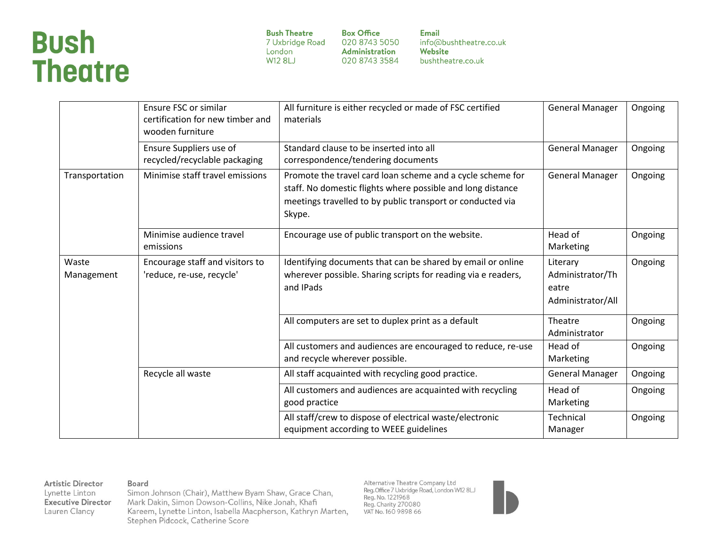| <b>Bush Theatre</b> |  |
|---------------------|--|
| 7 Uxbridge Road     |  |
| London              |  |
| W12 8LJ             |  |

**Box Office** 020 8743 5050 Administration 020 8743 3584

**Email** info@bushtheatre.co.uk Website bushtheatre.co.uk

|                     | Ensure FSC or similar<br>certification for new timber and<br>wooden furniture | All furniture is either recycled or made of FSC certified<br>materials                                                                                                                            | <b>General Manager</b>                                     | Ongoing |
|---------------------|-------------------------------------------------------------------------------|---------------------------------------------------------------------------------------------------------------------------------------------------------------------------------------------------|------------------------------------------------------------|---------|
|                     | Ensure Suppliers use of<br>recycled/recyclable packaging                      | Standard clause to be inserted into all<br>correspondence/tendering documents                                                                                                                     | <b>General Manager</b>                                     | Ongoing |
| Transportation      | Minimise staff travel emissions                                               | Promote the travel card loan scheme and a cycle scheme for<br>staff. No domestic flights where possible and long distance<br>meetings travelled to by public transport or conducted via<br>Skype. | <b>General Manager</b>                                     | Ongoing |
|                     | Minimise audience travel<br>emissions                                         | Encourage use of public transport on the website.                                                                                                                                                 | Head of<br>Marketing                                       | Ongoing |
| Waste<br>Management | Encourage staff and visitors to<br>'reduce, re-use, recycle'                  | Identifying documents that can be shared by email or online<br>wherever possible. Sharing scripts for reading via e readers,<br>and IPads                                                         | Literary<br>Administrator/Th<br>eatre<br>Administrator/All | Ongoing |
|                     |                                                                               | All computers are set to duplex print as a default                                                                                                                                                | Theatre<br>Administrator                                   | Ongoing |
|                     |                                                                               | All customers and audiences are encouraged to reduce, re-use<br>and recycle wherever possible.                                                                                                    | Head of<br>Marketing                                       | Ongoing |
|                     | Recycle all waste                                                             | All staff acquainted with recycling good practice.                                                                                                                                                | <b>General Manager</b>                                     | Ongoing |
|                     |                                                                               | All customers and audiences are acquainted with recycling<br>good practice                                                                                                                        | Head of<br>Marketing                                       | Ongoing |
|                     |                                                                               | All staff/crew to dispose of electrical waste/electronic<br>equipment according to WEEE guidelines                                                                                                | Technical<br>Manager                                       | Ongoing |

**Artistic Director** Lynette Linton **Executive Director** Lauren Clancy

Board

Simon Johnson (Chair), Matthew Byam Shaw, Grace Chan, Mark Dakin, Simon Dowson-Collins, Nike Jonah, Khafi Kareem, Lynette Linton, Isabella Macpherson, Kathryn Marten, Stephen Pidcock, Catherine Score

Alternative Theatre Company Ltd Fire Theory Theory Control Reg. Office 7 Uxbridge Road, London W12 8LJ<br>Reg. No. 1221968<br>Reg. Charity 270080 VAT No. 160 9898 66

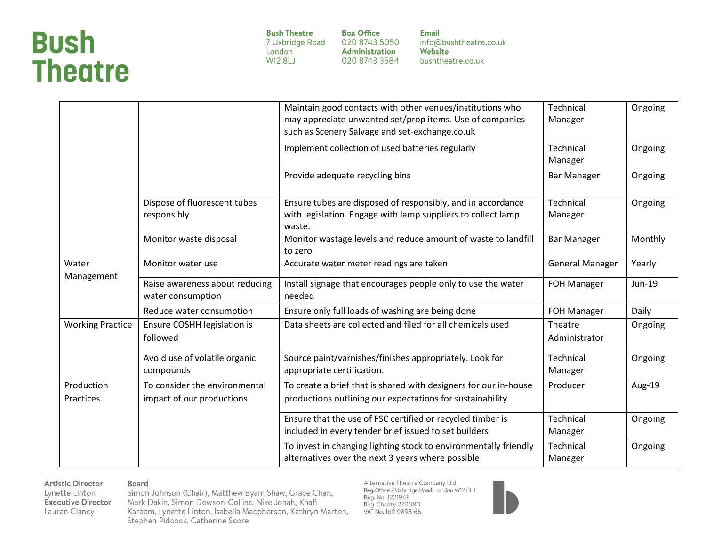| <b>Bush Theatre</b> | <b>Box Office</b>     |
|---------------------|-----------------------|
| 7 Uxbridge Road     | 020 8743 5050         |
| London              | <b>Administration</b> |
| W12 8LJ             | 020 8743 3584         |

**Email** info@bushtheatre.co.uk Website bushtheatre.co.uk

|                         |                                                            | Maintain good contacts with other venues/institutions who<br>may appreciate unwanted set/prop items. Use of companies<br>such as Scenery Salvage and set-exchange.co.uk | Technical<br>Manager     | Ongoing |
|-------------------------|------------------------------------------------------------|-------------------------------------------------------------------------------------------------------------------------------------------------------------------------|--------------------------|---------|
|                         |                                                            | Implement collection of used batteries regularly                                                                                                                        | Technical<br>Manager     | Ongoing |
|                         |                                                            | Provide adequate recycling bins                                                                                                                                         | <b>Bar Manager</b>       | Ongoing |
|                         | Dispose of fluorescent tubes<br>responsibly                | Ensure tubes are disposed of responsibly, and in accordance<br>with legislation. Engage with lamp suppliers to collect lamp<br>waste.                                   | Technical<br>Manager     | Ongoing |
|                         | Monitor waste disposal                                     | Monitor wastage levels and reduce amount of waste to landfill<br>to zero                                                                                                | <b>Bar Manager</b>       | Monthly |
| Water                   | Monitor water use                                          | Accurate water meter readings are taken                                                                                                                                 | <b>General Manager</b>   | Yearly  |
| Management              | Raise awareness about reducing<br>water consumption        | Install signage that encourages people only to use the water<br>needed                                                                                                  | <b>FOH Manager</b>       | Jun-19  |
|                         | Reduce water consumption                                   | Ensure only full loads of washing are being done                                                                                                                        | <b>FOH Manager</b>       | Daily   |
| <b>Working Practice</b> | Ensure COSHH legislation is<br>followed                    | Data sheets are collected and filed for all chemicals used                                                                                                              | Theatre<br>Administrator | Ongoing |
|                         | Avoid use of volatile organic<br>compounds                 | Source paint/varnishes/finishes appropriately. Look for<br>appropriate certification.                                                                                   | Technical<br>Manager     | Ongoing |
| Production<br>Practices | To consider the environmental<br>impact of our productions | To create a brief that is shared with designers for our in-house<br>productions outlining our expectations for sustainability                                           | Producer                 | Aug-19  |
|                         |                                                            | Ensure that the use of FSC certified or recycled timber is<br>included in every tender brief issued to set builders                                                     | Technical<br>Manager     | Ongoing |
|                         |                                                            | To invest in changing lighting stock to environmentally friendly<br>alternatives over the next 3 years where possible                                                   | Technical<br>Manager     | Ongoing |

**Artistic Director** Lynette Linton **Executive Director** Lauren Clancy

#### Board

Simon Johnson (Chair), Matthew Byam Shaw, Grace Chan, Mark Dakin, Simon Dowson-Collins, Nike Jonah, Khafi Kareem, Lynette Linton, Isabella Macpherson, Kathryn Marten, Stephen Pidcock, Catherine Score